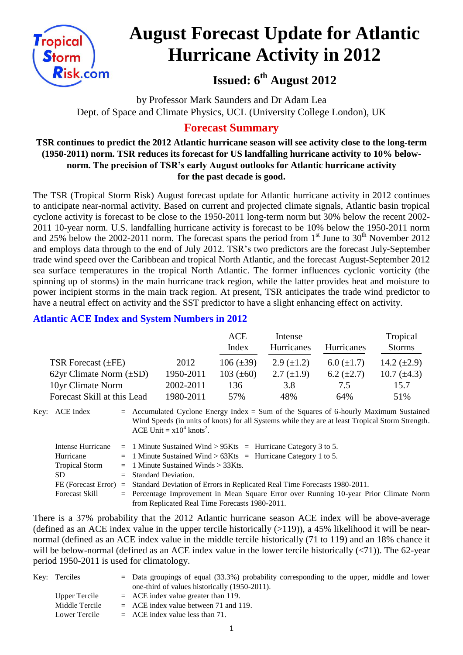

# **August Forecast Update for Atlantic Hurricane Activity in 2012**

**Issued: 6th August 2012**

by Professor Mark Saunders and Dr Adam Lea Dept. of Space and Climate Physics, UCL (University College London), UK

# **Forecast Summary**

# **TSR continues to predict the 2012 Atlantic hurricane season will see activity close to the long-term (1950-2011) norm. TSR reduces its forecast for US landfalling hurricane activity to 10% belownorm. The precision of TSR's early August outlooks for Atlantic hurricane activity for the past decade is good.**

The TSR (Tropical Storm Risk) August forecast update for Atlantic hurricane activity in 2012 continues to anticipate near-normal activity. Based on current and projected climate signals, Atlantic basin tropical cyclone activity is forecast to be close to the 1950-2011 long-term norm but 30% below the recent 2002- 2011 10-year norm. U.S. landfalling hurricane activity is forecast to be 10% below the 1950-2011 norm and 25% below the 2002-2011 norm. The forecast spans the period from  $1<sup>st</sup>$  June to 30<sup>th</sup> November 2012 and employs data through to the end of July 2012. TSR's two predictors are the forecast July-September trade wind speed over the Caribbean and tropical North Atlantic, and the forecast August-September 2012 sea surface temperatures in the tropical North Atlantic. The former influences cyclonic vorticity (the spinning up of storms) in the main hurricane track region, while the latter provides heat and moisture to power incipient storms in the main track region. At present, TSR anticipates the trade wind predictor to have a neutral effect on activity and the SST predictor to have a slight enhancing effect on activity.

# **Atlantic ACE Index and System Numbers in 2012**

|                              |           | ACE<br>Index   | Intense<br>Hurricanes | <b>Hurricanes</b> | Tropical<br><b>Storms</b> |
|------------------------------|-----------|----------------|-----------------------|-------------------|---------------------------|
| TSR Forecast $(\pm FE)$      | 2012      | $106 (\pm 39)$ | $2.9 \ (\pm 1.2)$     | $6.0 \ (\pm 1.7)$ | 14.2 $(\pm 2.9)$          |
| 62yr Climate Norm $(\pm SD)$ | 1950-2011 | 103 $(\pm 60)$ | $2.7 \ (\pm 1.9)$     | 6.2 $(\pm 2.7)$   | 10.7 $(\pm 4.3)$          |
| 10yr Climate Norm            | 2002-2011 | 136            | 3.8                   | 7.5               | 15.7                      |
| Forecast Skill at this Lead  | 1980-2011 | 57%            | 48%                   | 64%               | 51%                       |

Key: ACE Index  $=$  Accumulated Cyclone Energy Index = Sum of the Squares of 6-hourly Maximum Sustained Wind Speeds (in units of knots) for all Systems while they are at least Tropical Storm Strength. ACE Unit =  $x10^4$  knots<sup>2</sup>.

|                       | Intense Hurricane = 1 Minute Sustained Wind > $95Kts$ = Hurricane Category 3 to 5.              |
|-----------------------|-------------------------------------------------------------------------------------------------|
| Hurricane             | $=$ 1 Minute Sustained Wind > 63Kts $=$ Hurricane Category 1 to 5.                              |
| <b>Tropical Storm</b> | $=$ 1 Minute Sustained Winds $>$ 33Kts.                                                         |
| SD.                   | $=$ Standard Deviation.                                                                         |
|                       | FE (Forecast Error) = Standard Deviation of Errors in Replicated Real Time Forecasts 1980-2011. |
| Forecast Skill        | $=$ Percentage Improvement in Mean Square Error over Running 10-year Prior Climate Norm         |
|                       | from Replicated Real Time Forecasts 1980-2011.                                                  |

There is a 37% probability that the 2012 Atlantic hurricane season ACE index will be above-average (defined as an ACE index value in the upper tercile historically  $(>119)$ ), a 45% likelihood it will be nearnormal (defined as an ACE index value in the middle tercile historically (71 to 119) and an 18% chance it will be below-normal (defined as an ACE index value in the lower tercile historically  $(\langle 71 \rangle)$ ). The 62-year period 1950-2011 is used for climatology.

| Key: Terciles  | $=$ Data groupings of equal (33.3%) probability corresponding to the upper, middle and lower |
|----------------|----------------------------------------------------------------------------------------------|
|                | one-third of values historically (1950-2011).                                                |
| Upper Tercile  | $=$ ACE index value greater than 119.                                                        |
| Middle Tercile | $=$ ACE index value between 71 and 119.                                                      |
| Lower Tercile  | $=$ ACE index value less than 71.                                                            |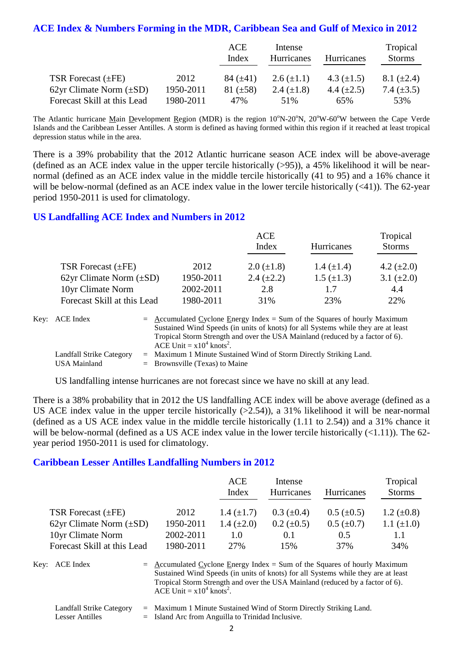# **ACE Index & Numbers Forming in the MDR, Caribbean Sea and Gulf of Mexico in 2012**

|                              |           | ACE<br>Index  | Intense<br>Hurricanes | <b>Hurricanes</b> | Tropical<br><b>Storms</b> |
|------------------------------|-----------|---------------|-----------------------|-------------------|---------------------------|
| TSR Forecast (±FE)           | 2012      | 84 $(\pm 41)$ | 2.6 $(\pm 1.1)$       | 4.3 $(\pm 1.5)$   | $8.1 (\pm 2.4)$           |
| 62yr Climate Norm $(\pm SD)$ | 1950-2011 | 81 $(\pm 58)$ | 2.4 $(\pm 1.8)$       | 4.4 $(\pm 2.5)$   | 7.4 $(\pm 3.5)$           |
| Forecast Skill at this Lead  | 1980-2011 | 47%           | 51%                   | 65%               | 53%                       |

The Atlantic hurricane Main Development Region (MDR) is the region  $10^{\circ}$ N-20<sup>o</sup>N, 20<sup>o</sup>W-60<sup>o</sup>W between the Cape Verde Islands and the Caribbean Lesser Antilles. A storm is defined as having formed within this region if it reached at least tropical depression status while in the area.

There is a 39% probability that the 2012 Atlantic hurricane season ACE index will be above-average (defined as an ACE index value in the upper tercile historically (>95)), a 45% likelihood it will be nearnormal (defined as an ACE index value in the middle tercile historically (41 to 95) and a 16% chance it will be below-normal (defined as an ACE index value in the lower tercile historically  $(\leq 41)$ ). The 62-year period 1950-2011 is used for climatology.

#### **US Landfalling ACE Index and Numbers in 2012**

|                              |           | ACE               | Tropical          |                 |
|------------------------------|-----------|-------------------|-------------------|-----------------|
|                              |           | Index             | <b>Hurricanes</b> | <b>Storms</b>   |
| TSR Forecast $(\pm FE)$      | 2012      | $2.0 \ (\pm 1.8)$ | 1.4 $(\pm 1.4)$   | 4.2 $(\pm 2.0)$ |
| 62yr Climate Norm $(\pm SD)$ | 1950-2011 | 2.4 $(\pm 2.2)$   | $1.5 \ (\pm 1.3)$ | 3.1 $(\pm 2.0)$ |
| 10yr Climate Norm            | 2002-2011 | 2.8               | 1.7               | 4.4             |
| Forecast Skill at this Lead  | 1980-2011 | 31%               | 23%               | 22%             |

| Key: ACE Index                                  | $=$ Accumulated Cyclone Energy Index $=$ Sum of the Squares of hourly Maximum<br>Sustained Wind Speeds (in units of knots) for all Systems while they are at least<br>Tropical Storm Strength and over the USA Mainland (reduced by a factor of 6).<br>ACE Unit = $x10^4$ knots <sup>2</sup> . |
|-------------------------------------------------|------------------------------------------------------------------------------------------------------------------------------------------------------------------------------------------------------------------------------------------------------------------------------------------------|
| Landfall Strike Category<br><b>USA Mainland</b> | $=$ Maximum 1 Minute Sustained Wind of Storm Directly Striking Land.<br>$=$ Brownsville (Texas) to Maine                                                                                                                                                                                       |

US landfalling intense hurricanes are not forecast since we have no skill at any lead.

There is a 38% probability that in 2012 the US landfalling ACE index will be above average (defined as a US ACE index value in the upper tercile historically (>2.54)), a 31% likelihood it will be near-normal (defined as a US ACE index value in the middle tercile historically (1.11 to 2.54)) and a 31% chance it will be below-normal (defined as a US ACE index value in the lower tercile historically  $(\le 1.11)$ ). The 62year period 1950-2011 is used for climatology.

#### **Caribbean Lesser Antilles Landfalling Numbers in 2012**

|                              |           | <b>ACE</b><br>Index | Intense<br>Hurricanes | <b>Hurricanes</b> | Tropical<br><b>Storms</b> |
|------------------------------|-----------|---------------------|-----------------------|-------------------|---------------------------|
| TSR Forecast $(\pm FE)$      | 2012      | 1.4 $(\pm 1.7)$     | $0.3~(\pm 0.4)$       | $0.5 \ (\pm 0.5)$ | 1.2 $(\pm 0.8)$           |
| 62yr Climate Norm $(\pm SD)$ | 1950-2011 | 1.4 $(\pm 2.0)$     | $0.2 \ (\pm 0.5)$     | $0.5 \ (\pm 0.7)$ | 1.1 $(\pm 1.0)$           |
| 10yr Climate Norm            | 2002-2011 | 1.0                 | 0.1                   | 0.5               | 1.1                       |
| Forecast Skill at this Lead  | 1980-2011 | 27%                 | 15%                   | 37%               | 34%                       |

Key:  $ACE Index = Accumulated Cyclone Energy Index = Sum of the Squares of hourly Maximum$ Sustained Wind Speeds (in units of knots) for all Systems while they are at least Tropical Storm Strength and over the USA Mainland (reduced by a factor of 6). ACE Unit =  $x10^4$  knots<sup>2</sup>.

| Landfall Strike Category | = Maximum 1 Minute Sustained Wind of Storm Directly Striking Land. |
|--------------------------|--------------------------------------------------------------------|
| Lesser Antilles          | $=$ Island Arc from Anguilla to Trinidad Inclusive.                |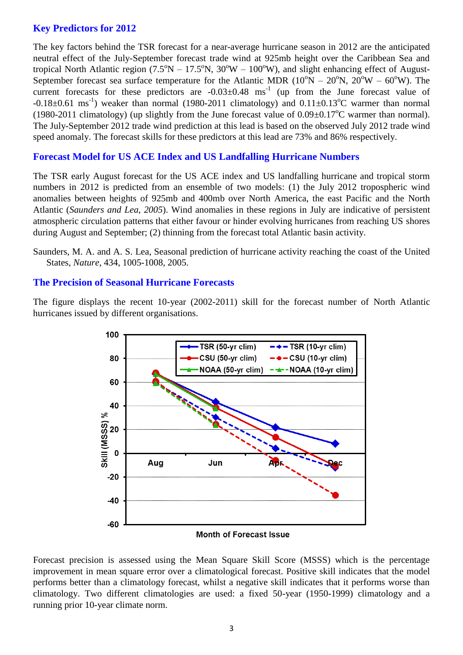# **Key Predictors for 2012**

The key factors behind the TSR forecast for a near-average hurricane season in 2012 are the anticipated neutral effect of the July-September forecast trade wind at 925mb height over the Caribbean Sea and tropical North Atlantic region ( $7.5^{\circ}N - 17.5^{\circ}N$ ,  $30^{\circ}W - 100^{\circ}W$ ), and slight enhancing effect of August-September forecast sea surface temperature for the Atlantic MDR ( $10^{\circ}N - 20^{\circ}N$ ,  $20^{\circ}W - 60^{\circ}W$ ). The current forecasts for these predictors are  $-0.03 \pm 0.48$  ms<sup>-1</sup> (up from the June forecast value of  $-0.18\pm0.61$  ms<sup>-1</sup>) weaker than normal (1980-2011 climatology) and  $0.11\pm0.13^{\circ}$ C warmer than normal (1980-2011 climatology) (up slightly from the June forecast value of  $0.09\pm0.17^{\circ}$ C warmer than normal). The July-September 2012 trade wind prediction at this lead is based on the observed July 2012 trade wind speed anomaly. The forecast skills for these predictors at this lead are 73% and 86% respectively.

# **Forecast Model for US ACE Index and US Landfalling Hurricane Numbers**

The TSR early August forecast for the US ACE index and US landfalling hurricane and tropical storm numbers in 2012 is predicted from an ensemble of two models: (1) the July 2012 tropospheric wind anomalies between heights of 925mb and 400mb over North America, the east Pacific and the North Atlantic (*Saunders and Lea, 2005*). Wind anomalies in these regions in July are indicative of persistent atmospheric circulation patterns that either favour or hinder evolving hurricanes from reaching US shores during August and September; (2) thinning from the forecast total Atlantic basin activity.

#### **The Precision of Seasonal Hurricane Forecasts**

The figure displays the recent 10-year (2002-2011) skill for the forecast number of North Atlantic hurricanes issued by different organisations.



Forecast precision is assessed using the Mean Square Skill Score (MSSS) which is the percentage improvement in mean square error over a climatological forecast. Positive skill indicates that the model performs better than a climatology forecast, whilst a negative skill indicates that it performs worse than climatology. Two different climatologies are used: a fixed 50-year (1950-1999) climatology and a running prior 10-year climate norm.

Saunders, M. A. and A. S. Lea, Seasonal prediction of hurricane activity reaching the coast of the United States, *Nature*, 434, 1005-1008, 2005.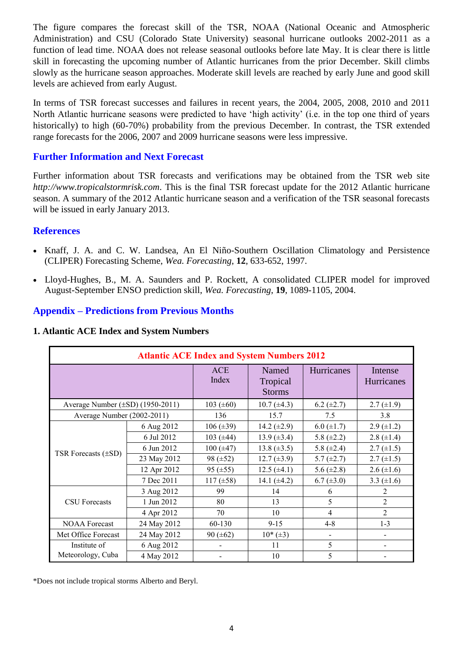The figure compares the forecast skill of the TSR, NOAA (National Oceanic and Atmospheric Administration) and CSU (Colorado State University) seasonal hurricane outlooks 2002-2011 as a function of lead time. NOAA does not release seasonal outlooks before late May. It is clear there is little skill in forecasting the upcoming number of Atlantic hurricanes from the prior December. Skill climbs slowly as the hurricane season approaches. Moderate skill levels are reached by early June and good skill levels are achieved from early August.

In terms of TSR forecast successes and failures in recent years, the 2004, 2005, 2008, 2010 and 2011 North Atlantic hurricane seasons were predicted to have 'high activity' (i.e. in the top one third of years historically) to high (60-70%) probability from the previous December. In contrast, the TSR extended range forecasts for the 2006, 2007 and 2009 hurricane seasons were less impressive.

# **Further Information and Next Forecast**

Further information about TSR forecasts and verifications may be obtained from the TSR web site *http://www.tropicalstormrisk.com*. This is the final TSR forecast update for the 2012 Atlantic hurricane season. A summary of the 2012 Atlantic hurricane season and a verification of the TSR seasonal forecasts will be issued in early January 2013.

## **References**

- Knaff, J. A. and C. W. Landsea, An El Niño-Southern Oscillation Climatology and Persistence (CLIPER) Forecasting Scheme, *Wea. Forecasting*, **12**, 633-652, 1997.
- Lloyd-Hughes, B., M. A. Saunders and P. Rockett, A consolidated CLIPER model for improved [August-September ENSO prediction skill,](http://www.tropicalstormrisk.com/docs/Lloyd-Hughesetal2004.pdf) *Wea. Forecasting*, **19**, 1089-1105, 2004.

# **Appendix – Predictions from Previous Months**

#### **1. Atlantic ACE Index and System Numbers**

| <b>Atlantic ACE Index and System Numbers 2012</b> |             |                     |                                    |                   |                       |  |  |
|---------------------------------------------------|-------------|---------------------|------------------------------------|-------------------|-----------------------|--|--|
|                                                   |             | <b>ACE</b><br>Index | Named<br>Tropical<br><b>Storms</b> | Hurricanes        | Intense<br>Hurricanes |  |  |
| Average Number $(\pm SD)$ (1950-2011)             |             | 103 $(\pm 60)$      | $10.7 (\pm 4.3)$                   | $6.2 \ (\pm 2.7)$ | $2.7 \ (\pm 1.9)$     |  |  |
| Average Number (2002-2011)                        |             | 136                 | 15.7                               | 7.5               | 3.8                   |  |  |
|                                                   | 6 Aug 2012  | $106 (\pm 39)$      | 14.2 $(\pm 2.9)$                   | $6.0 \ (\pm 1.7)$ | $2.9 \ (\pm 1.2)$     |  |  |
|                                                   | 6 Jul 2012  | 103 $(\pm 44)$      | $13.9 (\pm 3.4)$                   | 5.8 $(\pm 2.2)$   | 2.8 $(\pm 1.4)$       |  |  |
| TSR Forecasts $(\pm SD)$                          | 6 Jun 2012  | $100 (\pm 47)$      | $13.8 (\pm 3.5)$                   | 5.8 $(\pm 2.4)$   | $2.7 \ (\pm 1.5)$     |  |  |
|                                                   | 23 May 2012 | 98 $(\pm 52)$       | $12.7 (\pm 3.9)$                   | 5.7 $(\pm 2.7)$   | $2.7 \ (\pm 1.5)$     |  |  |
|                                                   | 12 Apr 2012 | 95 $(\pm 55)$       | $12.5 (\pm 4.1)$                   | 5.6 $(\pm 2.8)$   | $2.6 (\pm 1.6)$       |  |  |
|                                                   | 7 Dec 2011  | $117 (\pm 58)$      | 14.1 $(\pm 4.2)$                   | $6.7 (\pm 3.0)$   | 3.3 $(\pm 1.6)$       |  |  |
|                                                   | 3 Aug 2012  | 99                  | 14                                 | 6                 | 2                     |  |  |
| <b>CSU</b> Forecasts                              | 1 Jun 2012  | 80                  | 13                                 | 5                 | $\overline{2}$        |  |  |
|                                                   | 4 Apr 2012  | 70                  | 10                                 | $\overline{4}$    | $\overline{2}$        |  |  |
| <b>NOAA Forecast</b>                              | 24 May 2012 | 60-130              | $9 - 15$                           | $4 - 8$           | $1 - 3$               |  |  |
| Met Office Forecast                               | 24 May 2012 | 90 $(\pm 62)$       | $10*(\pm 3)$                       |                   |                       |  |  |
| Institute of                                      | 6 Aug 2012  |                     | 11                                 | 5                 |                       |  |  |
| Meteorology, Cuba                                 | 4 May 2012  |                     | 10                                 | 5                 |                       |  |  |

\*Does not include tropical storms Alberto and Beryl.